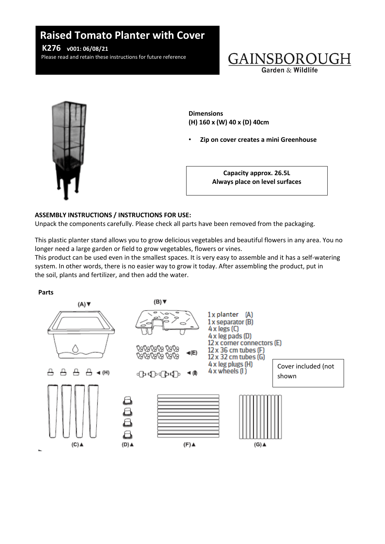# **v01: Raised Tomato Planter with Cover**

Please read and retain these instructions for future reference **K276 v001: 06/08/21**

Please read and retain these instructions for future reference





**Dimensions (H) 160 x (W) 40 x (D) 40cm**

• **Zip on cover creates a mini Greenhouse**

**Capacity approx. 26.5L Always place on level surfaces**

## **ASSEMBLY INSTRUCTIONS / INSTRUCTIONS FOR USE:**

Unpack the components carefully. Please check all parts have been removed from the packaging.

This plastic planter stand allows you to grow delicious vegetables and beautiful flowers in any area. You no longer need a large garden or field to grow vegetables, flowers or vines.

This product can be used even in the smallest spaces. It is very easy to assemble and it has a self-watering system. In other words, there is no easier way to grow it today. After assembling the product, put in the soil, plants and fertilizer, and then add the water.

### **Parts**

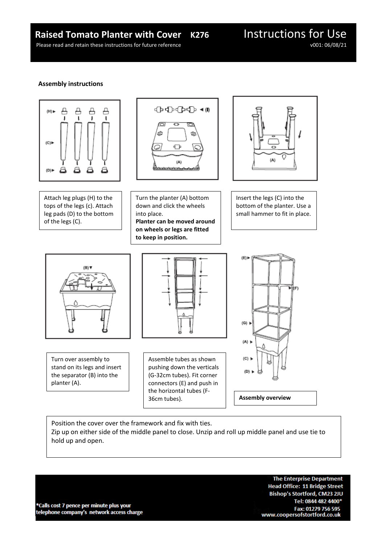# **Raised Tomato Planter with Cover K276** Instructions for Use Please read and retain these instructions for future reference

Please read and retain these instructions for future reference

### **Assembly instructions**



Attach leg plugs (H) to the tops of the legs (c). Attach leg pads (D) to the bottom of the legs (C).





Turn the planter (A) bottom down and click the wheels into place. **Planter can be moved around on wheels or legs are fitted to keep in position.**

Insert the legs (C) into the bottom of the planter. Use a small hammer to fit in place.



Turn over assembly to stand on its legs and insert the separator (B) into the planter (A).



Assemble tubes as shown pushing down the verticals (G-32cm tubes). Fit corner connectors (E) and push in the horizontal tubes (F-36cm tubes). **Assembly overview**



Position the cover over the framework and fix with ties. Zip up on either side of the middle panel to close. Unzip and roll up middle panel and use tie to hold up and open.

\*Calls cost 7 pence per minute plus your telephone company's network access charge

**The Enterprise Department Head Office: 11 Bridge Street** Bishop's Stortford, CM23 2JU Tel: 0844 482 4400\* Fax: 01279 756 595 www.coopersofstortford.co.uk